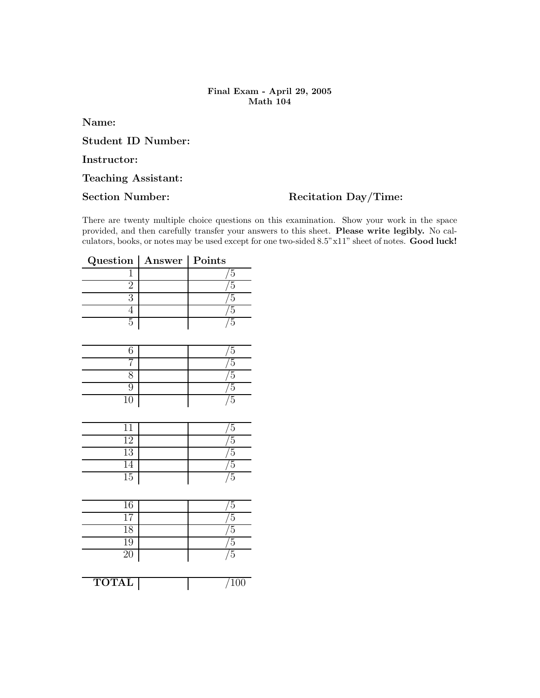## Final Exam - April 29, 2005 Math 104

Name:

Student ID Number:

Instructor:

## Teaching Assistant:

## Section Number: Recitation Day/Time:

There are twenty multiple choice questions on this examination. Show your work in the space provided, and then carefully transfer your answers to this sheet. Please write legibly. No calculators, books, or notes may be used except for one two-sided 8.5"x11" sheet of notes. Good luck!

| Question   Answer   Points |  |
|----------------------------|--|
|                            |  |
|                            |  |
|                            |  |
|                            |  |
|                            |  |

|        | h      |
|--------|--------|
|        | h      |
|        | ŗ      |
|        | r<br>٠ |
| $10\,$ | r.     |

|                 | $\mathcal{D}$ |
|-----------------|---------------|
| $\overline{12}$ | r             |
| $\overline{13}$ | ະ             |
| 14              | G             |
| $\overline{15}$ | r             |

| 16        | b, |
|-----------|----|
|           | 5  |
| 18        | 5  |
| 19        | 5  |
| <b>20</b> | 5  |

TOTAL 700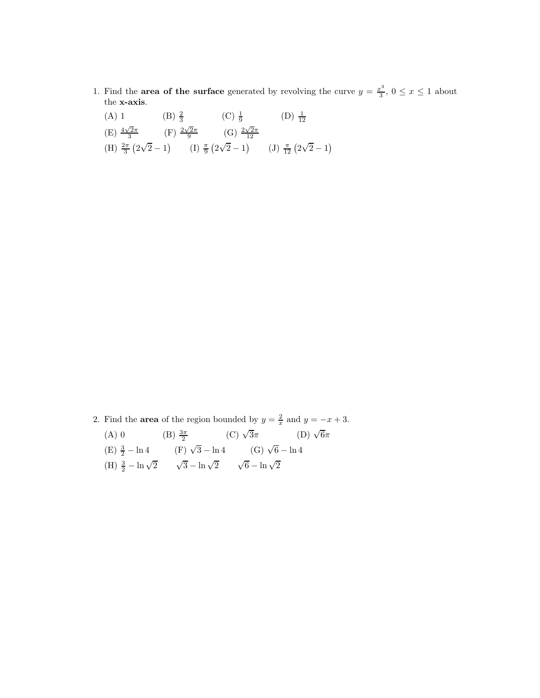- 1. Find the **area of the surface** generated by revolving the curve  $y = \frac{x^3}{3}$  $\frac{x^3}{3}$ ,  $0 \leq x \leq 1$  about the x-axis.
	- (A) 1 (B)  $\frac{2}{3}$  (C)  $\frac{1}{9}$  (D)  $\frac{1}{12}$ (E)  $\frac{4\sqrt{2}\pi}{3}$  (F)  $\frac{2\sqrt{2}\pi}{9}$  (G)  $\frac{2\sqrt{2}\pi}{12}$ (H)  $\frac{2\pi}{3}(2\sqrt{2}-1)$  (I)  $\frac{\pi}{9}(2\sqrt{2}-1)$  (J)  $\frac{\pi}{12}(2\sqrt{2}-1)$

- 2. Find the **area** of the region bounded by  $y = \frac{2}{x}$  and  $y = -x + 3$ .
	- (A) 0 (B)  $\frac{3\pi}{2}$  (C)  $\sqrt{3}\pi$  (D)  $\sqrt{6}\pi$ (E)  $\frac{3}{2} - \ln 4$  (F)  $\sqrt{3} - \ln 4$  (G)  $\sqrt{6} - \ln 4$ (H)  $\frac{3}{2} - \ln \sqrt{2}$   $\sqrt{3} - \ln \sqrt{2}$   $\sqrt{6} - \ln \sqrt{2}$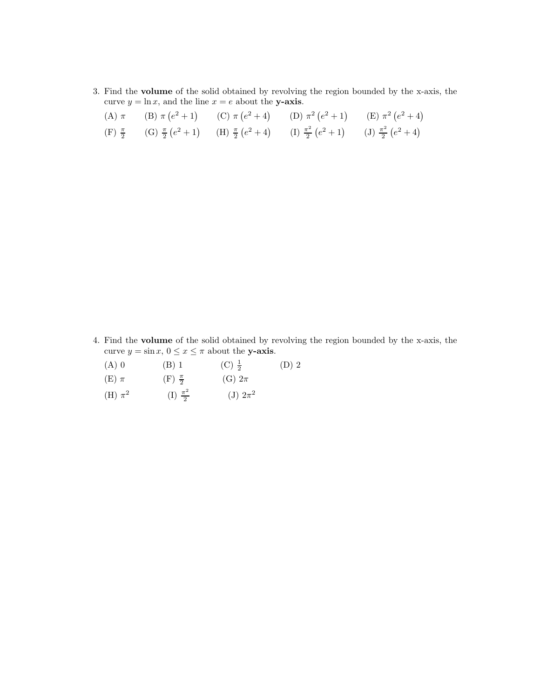3. Find the volume of the solid obtained by revolving the region bounded by the x-axis, the curve  $y = \ln x$ , and the line  $x = e$  about the y-axis.

|  | (A) $\pi$ (B) $\pi$ (e <sup>2</sup> + 1) (C) $\pi$ (e <sup>2</sup> + 4) (D) $\pi$ <sup>2</sup> (e <sup>2</sup> + 1) (E) $\pi$ <sup>2</sup> (e <sup>2</sup> + 4) |  |
|--|-----------------------------------------------------------------------------------------------------------------------------------------------------------------|--|
|  | (F) $\frac{\pi}{2}$ (G) $\frac{\pi}{2}(e^2+1)$ (H) $\frac{\pi}{2}(e^2+4)$ (I) $\frac{\pi^2}{2}(e^2+1)$ (J) $\frac{\pi^2}{2}(e^2+4)$                             |  |

4. Find the volume of the solid obtained by revolving the region bounded by the x-axis, the curve  $y = \sin x$ ,  $0 \le x \le \pi$  about the **y-axis.**<br>(A) 0 (B) 1 (C)  $\frac{1}{2}$ 

- (D) 2
- (A) 0 (B) 1 (C)  $\frac{1}{2}$ <br>(E)  $\pi$  (F)  $\frac{\pi}{2}$  (G)  $2\pi$
- (H)  $\pi^2$  (I)  $\frac{\pi^2}{2}$  $\frac{\tau^2}{2}$  (J)  $2\pi^2$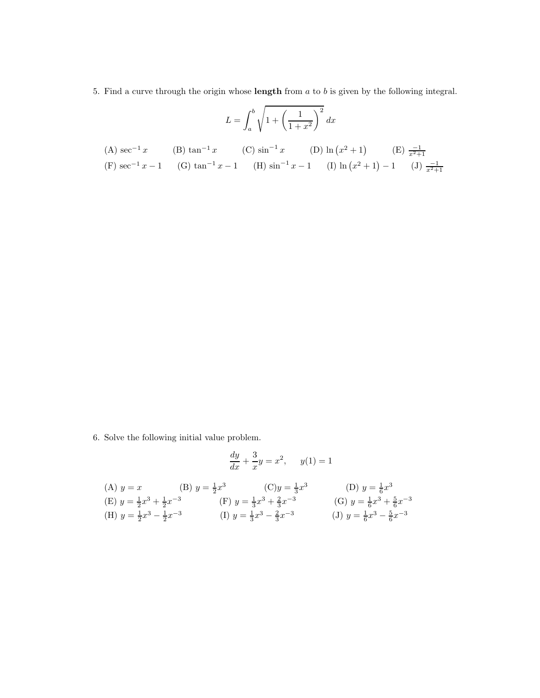5. Find a curve through the origin whose **length** from  $a$  to  $b$  is given by the following integral.

$$
L = \int_{a}^{b} \sqrt{1 + \left(\frac{1}{1+x^2}\right)^2} \, dx
$$

(A) 
$$
\sec^{-1} x
$$
 (B)  $\tan^{-1} x$  (C)  $\sin^{-1} x$  (D)  $\ln (x^2 + 1)$  (E)  $\frac{-1}{x^2 + 1}$   
\n(F)  $\sec^{-1} x - 1$  (G)  $\tan^{-1} x - 1$  (H)  $\sin^{-1} x - 1$  (I)  $\ln (x^2 + 1) - 1$  (J)  $\frac{-1}{x^2 + 1}$ 

6. Solve the following initial value problem.

$$
\frac{dy}{dx} + \frac{3}{x}y = x^2, \quad y(1) = 1
$$

(A) 
$$
y = x
$$
 (B)  $y = \frac{1}{2}x^3$  (C)  $y = \frac{1}{3}x^3$  (D)  $y = \frac{1}{6}x^3$   
\n(E)  $y = \frac{1}{2}x^3 + \frac{1}{2}x^{-3}$  (F)  $y = \frac{1}{3}x^3 + \frac{2}{3}x^{-3}$  (G)  $y = \frac{1}{6}x^3 + \frac{5}{6}x^{-3}$   
\n(H)  $y = \frac{1}{2}x^3 - \frac{1}{2}x^{-3}$  (I)  $y = \frac{1}{3}x^3 - \frac{2}{3}x^{-3}$  (J)  $y = \frac{1}{6}x^3 - \frac{5}{6}x^{-3}$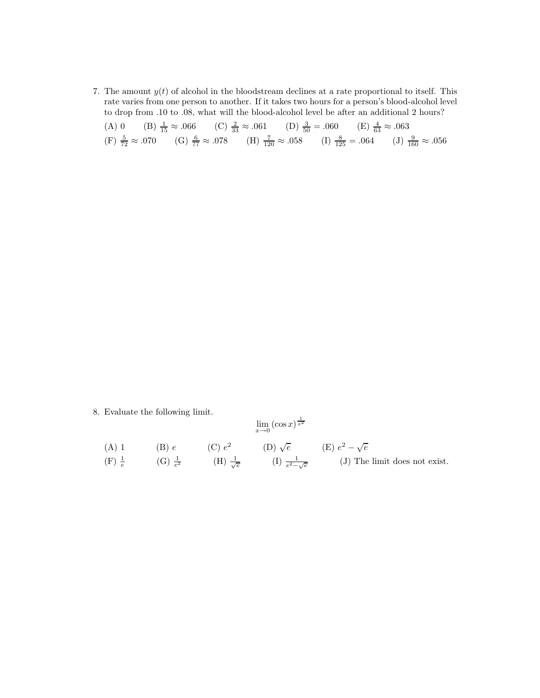7. The amount  $y(t)$  of alcohol in the bloodstream declines at a rate proportional to itself. This rate varies from one person to another. If it takes two hours for a person's blood-alcohol level to drop from .10 to .08, what will the blood-alcohol level be after an additional 2 hours?

|  | (A) 0 (B) $\frac{1}{15} \approx .066$ (C) $\frac{2}{33} \approx .061$ (D) $\frac{3}{50} = .060$ (E) $\frac{4}{63} \approx .063$                              |  |  |  |  |
|--|--------------------------------------------------------------------------------------------------------------------------------------------------------------|--|--|--|--|
|  | (F) $\frac{5}{72} \approx .070$ (G) $\frac{6}{77} \approx .078$ (H) $\frac{7}{120} \approx .058$ (I) $\frac{8}{125} = .064$ (J) $\frac{9}{160} \approx .056$ |  |  |  |  |

8. Evaluate the following limit.

Evaluate the following limit:

\n
$$
\lim_{x \to 0} (\cos x)^{\frac{1}{x^{2}}}
$$
\n(A) 1

\n(B) e

\n(C) e<sup>2</sup>

\n(D)  $\sqrt{e}$ 

\n(E)  $e^{2} - \sqrt{e}$ 

\n(F)  $\frac{1}{e}$ 

\n(G)  $\frac{1}{e^{2}}$ 

\n(H)  $\frac{1}{\sqrt{e}}$ 

\n(I)  $\frac{1}{e^{2} - \sqrt{e}}$ 

\n(J) The limit does not exist.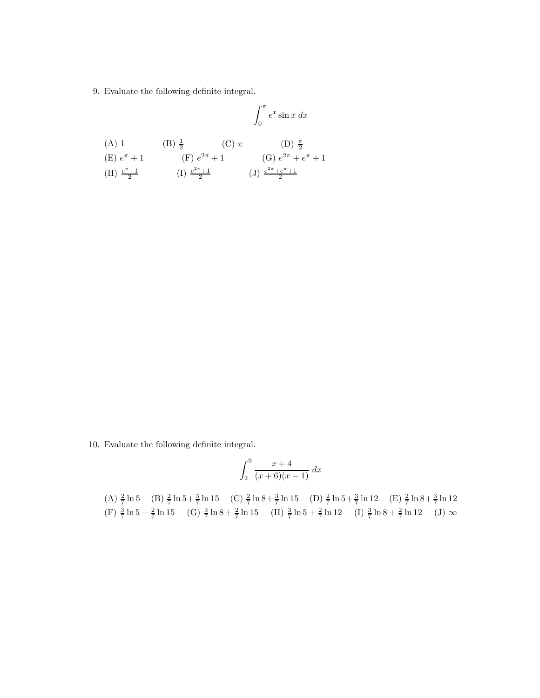9. Evaluate the following definite integral.

(A) 1  
\n(B) 
$$
\frac{1}{2}
$$
  
\n(C)  $\pi$   
\n(D)  $\frac{\pi}{2}$   
\n(E)  $e^{\pi} + 1$   
\n(F)  $e^{2\pi} + 1$   
\n(C)  $\pi$   
\n(D)  $\frac{\pi}{2}$   
\n(E)  $e^{\pi} + 1$   
\n(E)  $\frac{e^{2\pi} + e^{\pi} + 1}{2}$   
\n(E)  $\frac{e^{2\pi} + e^{\pi} + 1}{2}$   
\n(E)  $\frac{e^{2\pi} + e^{\pi} + 1}{2}$ 

10. Evaluate the following definite integral.

$$
\int_{2}^{9} \frac{x+4}{(x+6)(x-1)} \, dx
$$

(A)  $\frac{2}{7} \ln 5$  (B)  $\frac{2}{7} \ln 5 + \frac{3}{7} \ln 15$  (C)  $\frac{2}{7} \ln 8 + \frac{3}{7} \ln 15$  (D)  $\frac{2}{7} \ln 5 + \frac{3}{7} \ln 12$  (E)  $\frac{2}{7} \ln 8 + \frac{3}{7} \ln 12$ (F)  $\frac{3}{7} \ln 5 + \frac{2}{7} \ln 15$  (G)  $\frac{3}{7} \ln 8 + \frac{2}{7} \ln 15$  (H)  $\frac{3}{7} \ln 5 + \frac{2}{7} \ln 12$  (I)  $\frac{3}{7} \ln 8 + \frac{2}{7} \ln 12$  (J)  $\infty$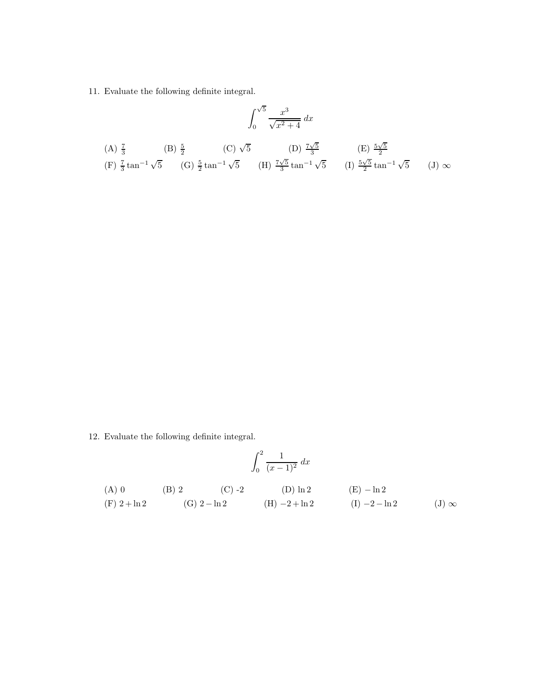11. Evaluate the following definite integral.

$$
\int_0^{\sqrt{5}} \frac{x^3}{\sqrt{x^2 + 4}} dx
$$
\n(A)  $\frac{7}{3}$  (B)  $\frac{5}{2}$  (C)  $\sqrt{5}$  (D)  $\frac{7\sqrt{5}}{3}$  (E)  $\frac{5\sqrt{5}}{2}$  (F)  $\frac{7}{3} \tan^{-1} \sqrt{5}$  (G)  $\frac{5}{2} \tan^{-1} \sqrt{5}$  (H)  $\frac{7\sqrt{5}}{3} \tan^{-1} \sqrt{5}$  (I)  $\frac{5\sqrt{5}}{2} \tan^{-1} \sqrt{5}$  (J)  $\infty$ 

12. Evaluate the following definite integral.

$$
\int_0^2 \frac{1}{(x-1)^2} \, dx
$$

(A) 0 (B) 2 (C) -2 (D)  $\ln 2$  (E) - $\ln 2$ <br>(F) 2 +  $\ln 2$  (G) 2 -  $\ln 2$  (H) -2 +  $\ln 2$  (I) -2 -  $\ln 2$ (G) 2 − ln 2 (H) −2 + ln 2 (I) −2 − ln 2 (J) ∞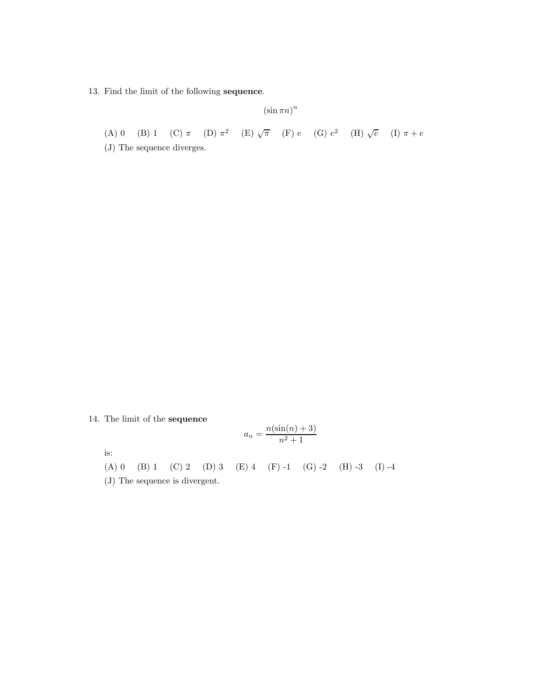13. Find the limit of the following sequence.

 $(\sin \pi n)^n$ 

(A) 0 (B) 1 (C)  $\pi$  (D)  $\pi^2$  (E)  $\sqrt{\pi}$  (F)  $e$  (G)  $e^2$  (H)  $\sqrt{e}$  (I)  $\pi + e$ 

(J) The sequence diverges.

14. The limit of the sequence

$$
a_n = \frac{n(\sin(n) + 3)}{n^2 + 1}
$$

is:

(A) 0 (B) 1 (C) 2 (D) 3 (E) 4 (F) -1 (G) -2 (H) -3 (I) -4

(J) The sequence is divergent.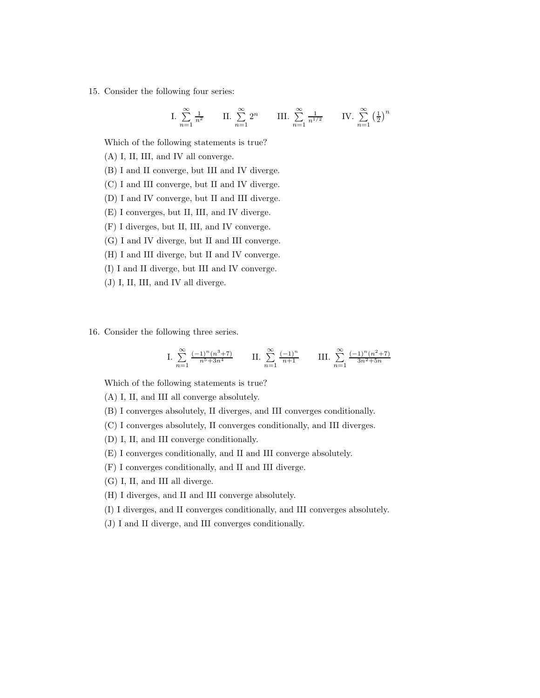15. Consider the following four series:

I. 
$$
\sum_{n=1}^{\infty} \frac{1}{n^2}
$$
 II.  $\sum_{n=1}^{\infty} 2^n$  III.  $\sum_{n=1}^{\infty} \frac{1}{n^{1/2}}$  IV.  $\sum_{n=1}^{\infty} (\frac{1}{2})^n$ 

Which of the following statements is true?

(A) I, II, III, and IV all converge.

- (B) I and II converge, but III and IV diverge.
- (C) I and III converge, but II and IV diverge.
- (D) I and IV converge, but II and III diverge.
- (E) I converges, but II, III, and IV diverge.
- (F) I diverges, but II, III, and IV converge.
- (G) I and IV diverge, but II and III converge.
- (H) I and III diverge, but II and IV converge.
- (I) I and II diverge, but III and IV converge.
- (J) I, II, III, and IV all diverge.
- 16. Consider the following three series.

I. 
$$
\sum_{n=1}^{\infty} \frac{(-1)^n (n^3 + 7)}{n^5 + 3n^4}
$$
 II. 
$$
\sum_{n=1}^{\infty} \frac{(-1)^n}{n+1}
$$
 III. 
$$
\sum_{n=1}^{\infty} \frac{(-1)^n (n^2 + 7)}{3n^2 + 5n}
$$

Which of the following statements is true?

(A) I, II, and III all converge absolutely.

- (B) I converges absolutely, II diverges, and III converges conditionally.
- (C) I converges absolutely, II converges conditionally, and III diverges.
- (D) I, II, and III converge conditionally.
- (E) I converges conditionally, and II and III converge absolutely.
- (F) I converges conditionally, and II and III diverge.
- (G) I, II, and III all diverge.
- (H) I diverges, and II and III converge absolutely.
- (I) I diverges, and II converges conditionally, and III converges absolutely.
- (J) I and II diverge, and III converges conditionally.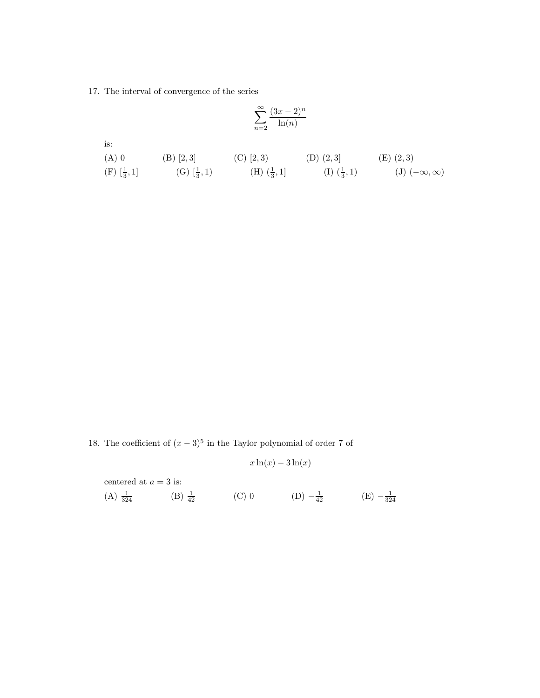17. The interval of convergence of the series

$$
\sum_{n=2}^{\infty} \frac{(3x-2)^n}{\ln(n)}
$$

is:

| $(A)$ 0                           | (B) [2,3]              | $(C)$ [2, 3)                      | $(D)$ $(2,3]$                     | $(E)$ $(2,3)$            |
|-----------------------------------|------------------------|-----------------------------------|-----------------------------------|--------------------------|
| $(F) \left[\frac{1}{3}, 1\right]$ | (G) $[\frac{1}{3}, 1)$ | $(H) \left(\frac{1}{3}, 1\right]$ | $(I) \left(\frac{1}{3}, 1\right)$ | $(J)$ $(-\infty,\infty)$ |

18. The coefficient of  $(x-3)^5$  in the Taylor polynomial of order 7 of

$$
x\ln(x) - 3\ln(x)
$$

centered at  $a = 3$  is:

(A)  $\frac{1}{324}$  (B)  $\frac{1}{42}$  (C) 0 (D)  $-\frac{1}{42}$  (E)  $-\frac{1}{324}$